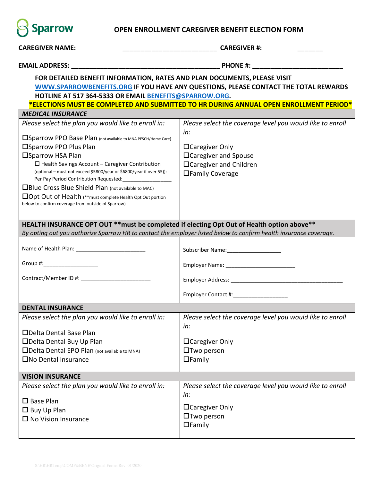

## **OPEN ENROLLMENT CAREGIVER BENEFIT ELECTION FORM**

| CAREGIVER NAME: <u>CAREGIVER NAME: The CAREGIVER NAME:</u>                                                                                    |                                                                  |  |  |  |  |  |  |  |
|-----------------------------------------------------------------------------------------------------------------------------------------------|------------------------------------------------------------------|--|--|--|--|--|--|--|
|                                                                                                                                               |                                                                  |  |  |  |  |  |  |  |
| FOR DETAILED BENEFIT INFORMATION, RATES AND PLAN DOCUMENTS, PLEASE VISIT                                                                      |                                                                  |  |  |  |  |  |  |  |
| WWW.SPARROWBENEFITS.ORG IF YOU HAVE ANY QUESTIONS, PLEASE CONTACT THE TOTAL REWARDS<br>HOTLINE AT 517 364-5333 OR EMAIL BENEFITS@SPARROW.ORG. |                                                                  |  |  |  |  |  |  |  |
| *ELECTIONS MUST BE COMPLETED AND SUBMITTED TO HR DURING ANNUAL OPEN ENROLLMENT PERIOD*                                                        |                                                                  |  |  |  |  |  |  |  |
| <b>MEDICAL INSURANCE</b>                                                                                                                      |                                                                  |  |  |  |  |  |  |  |
| Please select the plan you would like to enroll in:                                                                                           | Please select the coverage level you would like to enroll<br>in: |  |  |  |  |  |  |  |
| <b>ISparrow PPO Base Plan</b> (not available to MNA PESCH/Home Care)                                                                          |                                                                  |  |  |  |  |  |  |  |
| □Sparrow PPO Plus Plan                                                                                                                        | $\Box$ Caregiver Only                                            |  |  |  |  |  |  |  |
| □Sparrow HSA Plan                                                                                                                             | □Caregiver and Spouse                                            |  |  |  |  |  |  |  |
| $\Box$ Health Savings Account - Caregiver Contribution                                                                                        | □Caregiver and Children                                          |  |  |  |  |  |  |  |
| (optional – must not exceed \$5800/year or \$6800/year if over 55)):<br>Per Pay Period Contribution Requested: ___________________            | □Family Coverage                                                 |  |  |  |  |  |  |  |
| □Blue Cross Blue Shield Plan (not available to MAC)                                                                                           |                                                                  |  |  |  |  |  |  |  |
| □Opt Out of Health (**must complete Health Opt Out portion                                                                                    |                                                                  |  |  |  |  |  |  |  |
| below to confirm coverage from outside of Sparrow)                                                                                            |                                                                  |  |  |  |  |  |  |  |
|                                                                                                                                               |                                                                  |  |  |  |  |  |  |  |
| HEALTH INSURANCE OPT OUT ** must be completed if electing Opt Out of Health option above**                                                    |                                                                  |  |  |  |  |  |  |  |
| By opting out you authorize Sparrow HR to contact the employer listed below to confirm health insurance coverage.                             |                                                                  |  |  |  |  |  |  |  |
|                                                                                                                                               |                                                                  |  |  |  |  |  |  |  |
| Group #:____________________                                                                                                                  |                                                                  |  |  |  |  |  |  |  |
|                                                                                                                                               |                                                                  |  |  |  |  |  |  |  |
|                                                                                                                                               |                                                                  |  |  |  |  |  |  |  |
| <b>DENTAL INSURANCE</b>                                                                                                                       |                                                                  |  |  |  |  |  |  |  |
| Please select the plan you would like to enroll in:                                                                                           | Please select the coverage level you would like to enroll<br>in: |  |  |  |  |  |  |  |
| □Delta Dental Base Plan                                                                                                                       |                                                                  |  |  |  |  |  |  |  |
| □Delta Dental Buy Up Plan                                                                                                                     | □ Caregiver Only                                                 |  |  |  |  |  |  |  |
| □Delta Dental EPO Plan (not available to MNA)                                                                                                 | $\Box$ Two person                                                |  |  |  |  |  |  |  |
| □No Dental Insurance                                                                                                                          | $\Box$ Family                                                    |  |  |  |  |  |  |  |
| <b>VISION INSURANCE</b>                                                                                                                       |                                                                  |  |  |  |  |  |  |  |
| Please select the plan you would like to enroll in:                                                                                           | Please select the coverage level you would like to enroll        |  |  |  |  |  |  |  |
|                                                                                                                                               | in:                                                              |  |  |  |  |  |  |  |
| $\square$ Base Plan                                                                                                                           |                                                                  |  |  |  |  |  |  |  |
| $\Box$ Buy Up Plan                                                                                                                            | □ Caregiver Only                                                 |  |  |  |  |  |  |  |
| $\square$ No Vision Insurance                                                                                                                 | $\Box$ Two person                                                |  |  |  |  |  |  |  |
|                                                                                                                                               | $\Box$ Family                                                    |  |  |  |  |  |  |  |